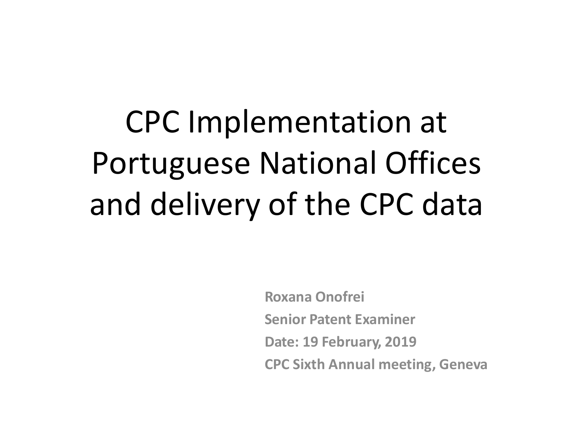CPC Implementation at Portuguese National Offices and delivery of the CPC data

> **Roxana Onofrei Senior Patent Examiner Date: 19 February, 2019 CPC Sixth Annual meeting, Geneva**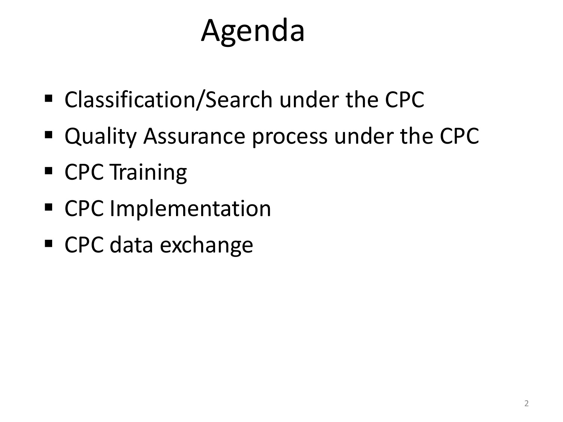# Agenda

- Classification/Search under the CPC
- Quality Assurance process under the CPC
- CPC Training
- CPC Implementation
- CPC data exchange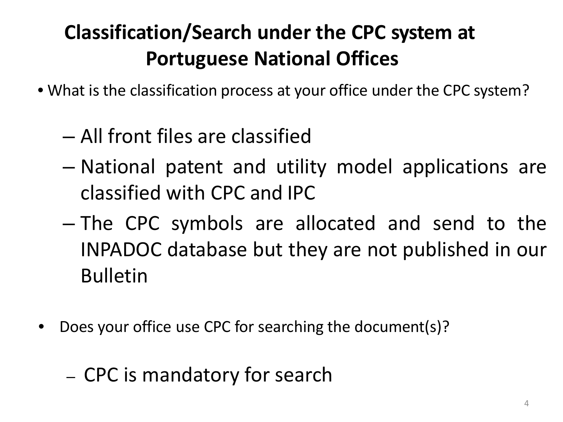## **Classification/Search under the CPC system at Portuguese National Offices**

- What is the classification process at your office under the CPC system?
	- All front files are classified
	- National patent and utility model applications are classified with CPC and IPC
	- The CPC symbols are allocated and send to the INPADOC database but they are not published in our Bulletin
- Does your office use CPC for searching the document(s)?

### – CPC is mandatory for search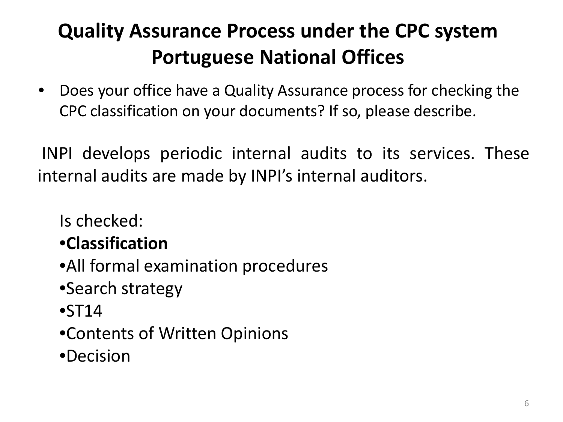## **Quality Assurance Process under the CPC system Portuguese National Offices**

• Does your office have a Quality Assurance process for checking the CPC classification on your documents? If so, please describe.

INPI develops periodic internal audits to its services. These internal audits are made by INPI's internal auditors.

Is checked:

#### •**Classification**

- •All formal examination procedures
- •Search strategy
- $\bullet$ ST14
- •Contents of Written Opinions
- •Decision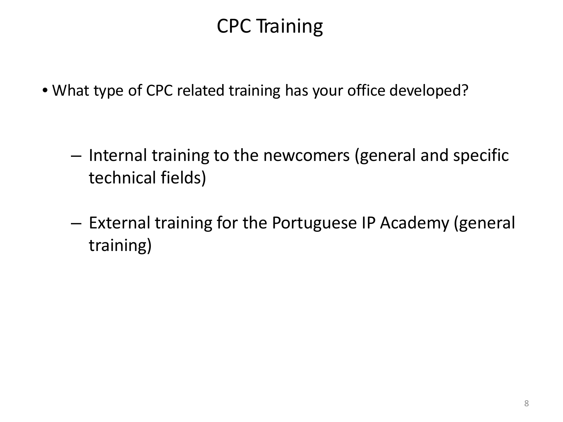### CPC Training

• What type of CPC related training has your office developed?

- Internal training to the newcomers (general and specific technical fields)
- External training for the Portuguese IP Academy (general training)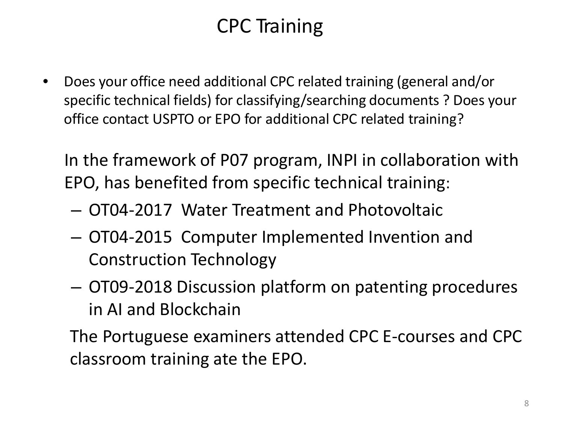## CPC Training

• Does your office need additional CPC related training (general and/or specific technical fields) for classifying/searching documents ? Does your office contact USPTO or EPO for additional CPC related training?

In the framework of P07 program, INPI in collaboration with EPO, has benefited from specific technical training:

- OT04-2017 Water Treatment and Photovoltaic
- OT04-2015 Computer Implemented Invention and Construction Technology
- OT09-2018 Discussion platform on patenting procedures in AI and Blockchain

The Portuguese examiners attended CPC E-courses and CPC classroom training ate the EPO.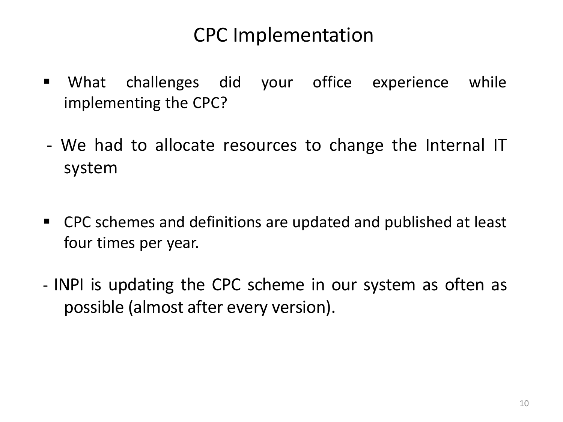#### CPC Implementation

- What challenges did your office experience while implementing the CPC?
- We had to allocate resources to change the Internal IT system
- CPC schemes and definitions are updated and published at least four times per year.
- INPI is updating the CPC scheme in our system as often as possible (almost after every version).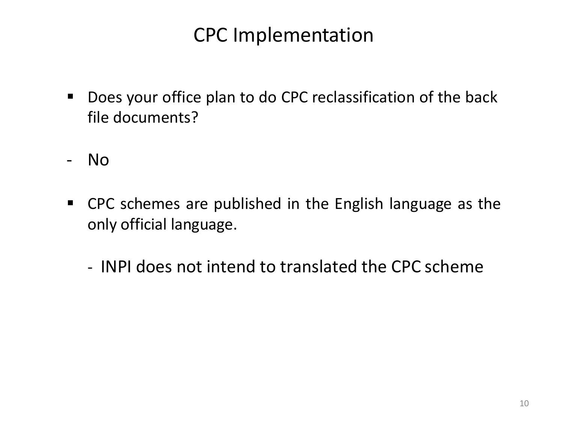#### CPC Implementation

- **Does your office plan to do CPC reclassification of the back** file documents?
- No
- CPC schemes are published in the English language as the only official language.
	- INPI does not intend to translated the CPC scheme